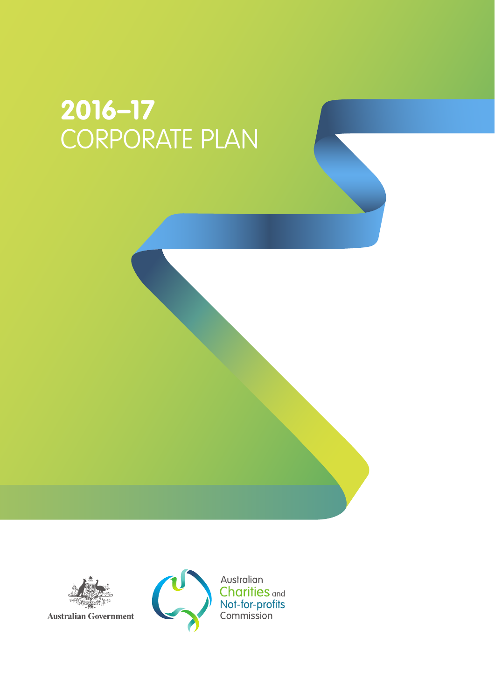# **2016–17** CORPORATE PLAN



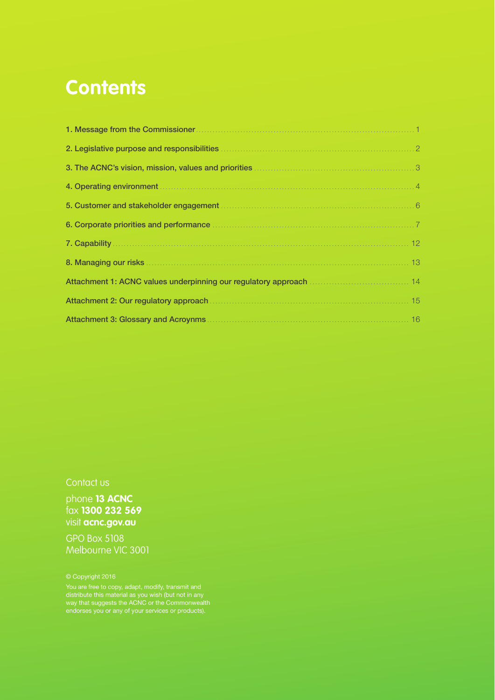### **Contents**

| 6. Corporate priorities and performance manufactured and priorities and performance manufactured and and all t |  |
|----------------------------------------------------------------------------------------------------------------|--|
|                                                                                                                |  |
|                                                                                                                |  |
|                                                                                                                |  |
|                                                                                                                |  |
|                                                                                                                |  |

#### Contact us

phone **13 ACNC** fax **1300 232 569** visit **acnc.gov.au**

GPO Box 5108 Melbourne VIC 3001

You are free to copy, adapt, modify, transmit and way that suggests the ACNC or the Commonwealth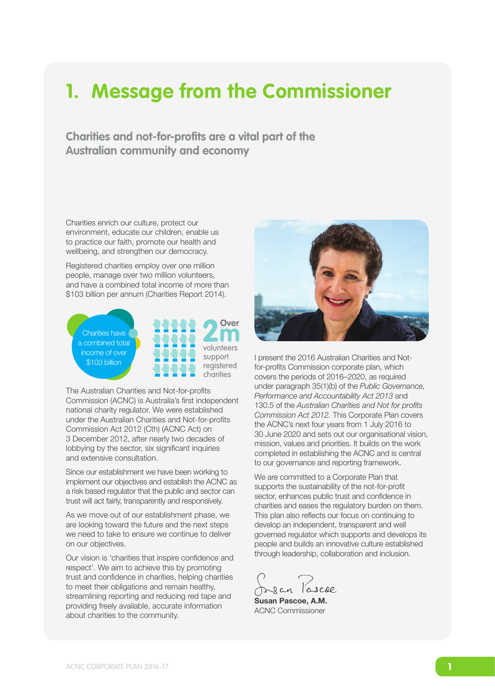### **1. Message from the Commissioner**

**Charities and not-for-profits are a vital part of the Australian community and economy**

Charities enrich our culture, protect our environment, educate our children, enable us to practice our faith, promote our health and wellbeing, and strengthen our democracy.

Registered charities employ over one million people, manage over two million volunteers, and have a combined total income of more than \$103 billion per annum (Charities Report 2014).

Charities have a combined total income of over \$103 billion



The Australian Charities and Not-for-profits Commission (ACNC) is Australia's first independent national charity regulator. We were established under the Australian Charities and Not-for-profits Commission Act 2012 (Cth) (ACNC Act) on 3 December 2012, after nearly two decades of lobbying by the sector, six significant inquiries and extensive consultation.

Since our establishment we have been working to implement our objectives and establish the ACNC as a risk based regulator that the public and sector can trust will act fairly, transparently and responsively.

As we move out of our establishment phase, we are looking toward the future and the next steps we need to take to ensure we continue to deliver on our objectives.

Our vision is 'charities that inspire confidence and respect'. We aim to achieve this by promoting trust and confidence in charities, helping charities to meet their obligations and remain healthy, streamlining reporting and reducing red tape and providing freely available, accurate information about charities to the community.



I present the 2016 Australian Charities and Notfor-profits Commission corporate plan, which covers the periods of 2016–2020, as required under paragraph 35(1)(b) of the *Public Governance, Performance and Accountability Act 2013* and 130.5 of the *Australian Charities and Not for profits Commission Act 2012.* This Corporate Plan covers the ACNC's next four years from 1 July 2016 to 30 June 2020 and sets out our organisational vision, mission, values and priorities. It builds on the work completed in establishing the ACNC and is central to our governance and reporting framework.

We are committed to a Corporate Plan that supports the sustainability of the not-for-profit sector, enhances public trust and confidence in charities and eases the regulatory burden on them. This plan also reflects our focus on continuing to develop an independent, transparent and well governed regulator which supports and develops its people and builds an innovative culture established through leadership, collaboration and inclusion.

Dean lascoe

Susan Pascoe, A.M. ACNC Commissioner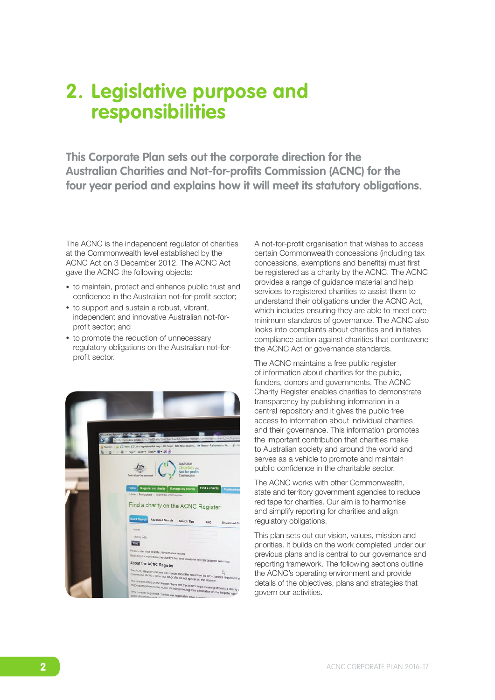### **2. Legislative purpose and responsibilities**

**This Corporate Plan sets out the corporate direction for the Australian Charities and Not-for-profits Commission (ACNC) for the four year period and explains how it will meet its statutory obligations.**

The ACNC is the independent regulator of charities at the Commonwealth level established by the ACNC Act on 3 December 2012. The ACNC Act gave the ACNC the following objects:

- to maintain, protect and enhance public trust and confidence in the Australian not-for-profit sector;
- to support and sustain a robust, vibrant, independent and innovative Australian not-forprofit sector; and
- to promote the reduction of unnecessary regulatory obligations on the Australian not-forprofit sector.



A not-for-profit organisation that wishes to access certain Commonwealth concessions (including tax concessions, exemptions and benefits) must first be registered as a charity by the ACNC. The ACNC provides a range of guidance material and help services to registered charities to assist them to understand their obligations under the ACNC Act, which includes ensuring they are able to meet core minimum standards of governance. The ACNC also looks into complaints about charities and initiates compliance action against charities that contravene the ACNC Act or governance standards.

The ACNC maintains a free public register of information about charities for the public, funders, donors and governments. The ACNC Charity Register enables charities to demonstrate transparency by publishing information in a central repository and it gives the public free access to information about individual charities and their governance. This information promotes the important contribution that charities make to Australian society and around the world and serves as a vehicle to promote and maintain public confidence in the charitable sector.

The ACNC works with other Commonwealth, state and territory government agencies to reduce red tape for charities. Our aim is to harmonise and simplify reporting for charities and align regulatory obligations.

This plan sets out our vision, values, mission and priorities. It builds on the work completed under our previous plans and is central to our governance and reporting framework. The following sections outline the ACNC's operating environment and provide details of the objectives, plans and strategies that govern our activities.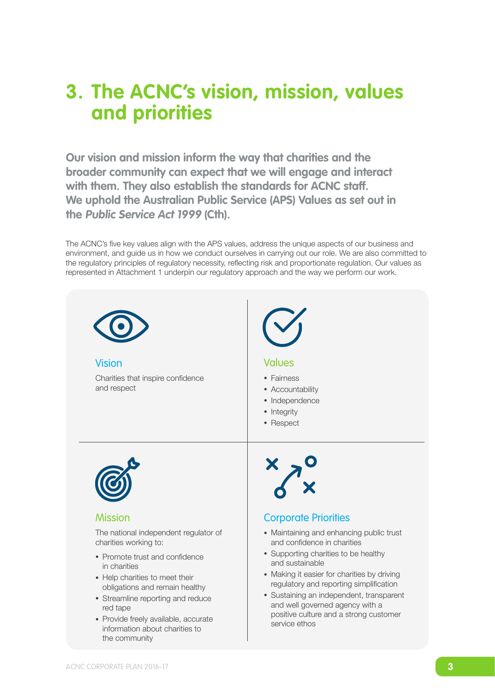### **3. The ACNC's vision, mission, values and priorities**

**Our vision and mission inform the way that charities and the broader community can expect that we will engage and interact with them. They also establish the standards for ACNC staff. We uphold the Australian Public Service (APS) Values as set out in the Public Service Act 1999 (Cth).** 

represented in Attachment 1 underpin our regulatory approach and the way we perform our work. The ACNC's five key values align with the APS values, address the unique aspects of our business and environment, and guide us in how we conduct ourselves in carrying out our role. We are also committed to the regulatory principles of regulatory necessity, reflecting risk and proportionate regulation. Our values as

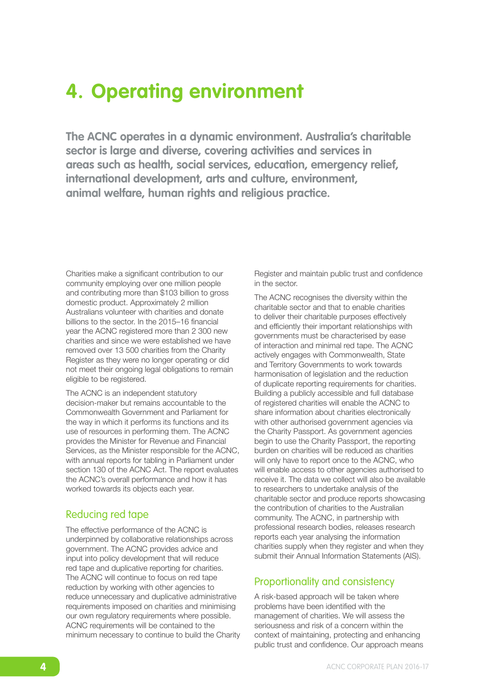### **4. Operating environment**

**The ACNC operates in a dynamic environment. Australia's charitable sector is large and diverse, covering activities and services in areas such as health, social services, education, emergency relief, international development, arts and culture, environment, animal welfare, human rights and religious practice.** 

Charities make a significant contribution to our community employing over one million people and contributing more than \$103 billion to gross domestic product. Approximately 2 million Australians volunteer with charities and donate billions to the sector. In the 2015–16 financial year the ACNC registered more than 2 300 new charities and since we were established we have removed over 13 500 charities from the Charity Register as they were no longer operating or did not meet their ongoing legal obligations to remain eligible to be registered.

The ACNC is an independent statutory decision-maker but remains accountable to the Commonwealth Government and Parliament for the way in which it performs its functions and its use of resources in performing them. The ACNC provides the Minister for Revenue and Financial Services, as the Minister responsible for the ACNC, with annual reports for tabling in Parliament under section 130 of the ACNC Act. The report evaluates the ACNC's overall performance and how it has worked towards its objects each year.

#### Reducing red tape

The effective performance of the ACNC is underpinned by collaborative relationships across government. The ACNC provides advice and input into policy development that will reduce red tape and duplicative reporting for charities. The ACNC will continue to focus on red tape reduction by working with other agencies to reduce unnecessary and duplicative administrative requirements imposed on charities and minimising our own regulatory requirements where possible. ACNC requirements will be contained to the minimum necessary to continue to build the Charity Register and maintain public trust and confidence in the sector.

The ACNC recognises the diversity within the charitable sector and that to enable charities to deliver their charitable purposes effectively and efficiently their important relationships with governments must be characterised by ease of interaction and minimal red tape. The ACNC actively engages with Commonwealth, State and Territory Governments to work towards harmonisation of legislation and the reduction of duplicate reporting requirements for charities. Building a publicly accessible and full database of registered charities will enable the ACNC to share information about charities electronically with other authorised government agencies via the Charity Passport. As government agencies begin to use the Charity Passport, the reporting burden on charities will be reduced as charities will only have to report once to the ACNC, who will enable access to other agencies authorised to receive it. The data we collect will also be available to researchers to undertake analysis of the charitable sector and produce reports showcasing the contribution of charities to the Australian community. The ACNC, in partnership with professional research bodies, releases research reports each year analysing the information charities supply when they register and when they submit their Annual Information Statements (AIS).

#### Proportionality and consistency

A risk-based approach will be taken where problems have been identified with the management of charities. We will assess the seriousness and risk of a concern within the context of maintaining, protecting and enhancing public trust and confidence. Our approach means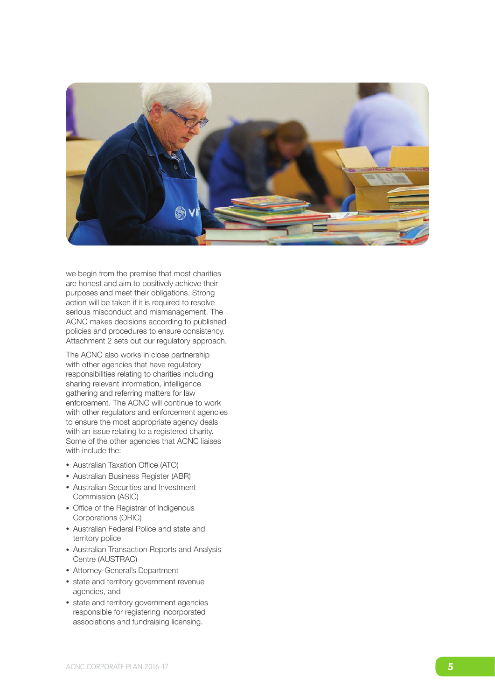

we begin from the premise that most charities are honest and aim to positively achieve their purposes and meet their obligations . Strong action will be taken if it is required to resolve serious misconduct and mismanagement . The ACNC makes decisions according to published policies and procedures to ensure consistency . Attachment 2 sets out our regulatory approach .

The ACNC also works in close partnership with other agencies that have regulatory responsibilities relating to charities including sharing relevant information, intelligence gathering and referring matters for law enforcement . The ACNC will continue to work with other regulators and enforcement agencies to ensure the most appropriate agency deals with an issue relating to a registered charity . Some of the other agencies that ACNC liaises with include the:<br>• Australian Taxation Office (ATO)

- 
- Australian Business Register (ABR)
- Australian Securities and Investment Commission (ASIC)
- Office of the Registrar of Indigenous Corporations (ORIC)
- Australian Federal Police and state and territory police
- Australian Transaction Reports and Analysis Centre (AUSTRAC)
- Attorney-General's Department
- state and territory government revenue agencies, and
- state and territory government agencies responsible for registering incorporated associations and fundraising licensing .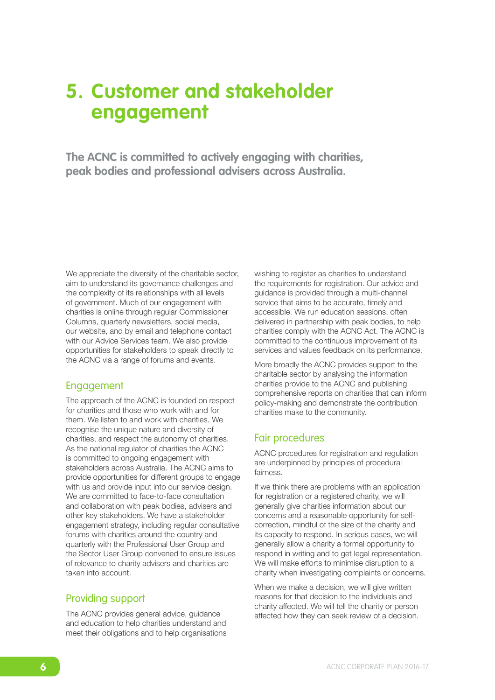### **5. Customer and stakeholder engagement**

**The ACNC is committed to actively engaging with charities, peak bodies and professional advisers across Australia.**

We appreciate the diversity of the charitable sector, aim to understand its governance challenges and the complexity of its relationships with all levels of government. Much of our engagement with charities is online through regular Commissioner Columns, quarterly newsletters, social media, our website, and by email and telephone contact with our Advice Services team. We also provide opportunities for stakeholders to speak directly to the ACNC via a range of forums and events.

#### Engagement

The approach of the ACNC is founded on respect for charities and those who work with and for them. We listen to and work with charities. We recognise the unique nature and diversity of charities, and respect the autonomy of charities. As the national regulator of charities the ACNC is committed to ongoing engagement with stakeholders across Australia. The ACNC aims to provide opportunities for different groups to engage with us and provide input into our service design. We are committed to face-to-face consultation and collaboration with peak bodies, advisers and other key stakeholders. We have a stakeholder engagement strategy, including regular consultative forums with charities around the country and quarterly with the Professional User Group and the Sector User Group convened to ensure issues of relevance to charity advisers and charities are taken into account.

#### Providing support

The ACNC provides general advice, guidance and education to help charities understand and meet their obligations and to help organisations wishing to register as charities to understand the requirements for registration. Our advice and guidance is provided through a multi-channel service that aims to be accurate, timely and accessible. We run education sessions, often delivered in partnership with peak bodies, to help charities comply with the ACNC Act. The ACNC is committed to the continuous improvement of its services and values feedback on its performance.

More broadly the ACNC provides support to the charitable sector by analysing the information charities provide to the ACNC and publishing comprehensive reports on charities that can inform policy-making and demonstrate the contribution charities make to the community.

#### Fair procedures

ACNC procedures for registration and regulation are underpinned by principles of procedural fairness.

If we think there are problems with an application for registration or a registered charity, we will generally give charities information about our concerns and a reasonable opportunity for selfcorrection, mindful of the size of the charity and its capacity to respond. In serious cases, we will generally allow a charity a formal opportunity to respond in writing and to get legal representation. We will make efforts to minimise disruption to a charity when investigating complaints or concerns.

When we make a decision, we will give written reasons for that decision to the individuals and charity affected. We will tell the charity or person affected how they can seek review of a decision.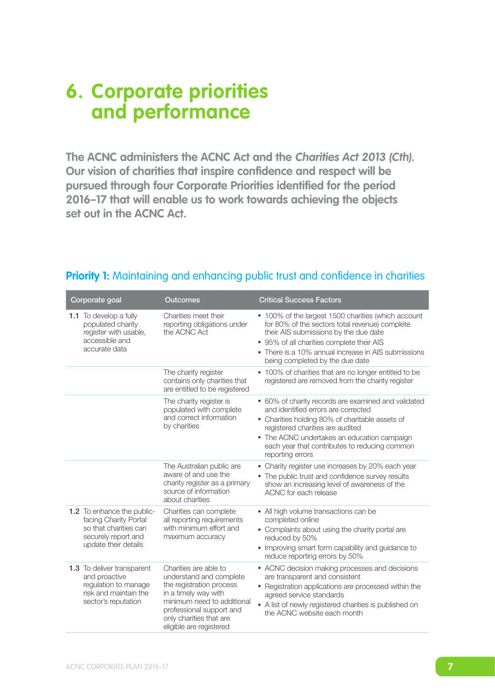### **6. Corporate priorities and performance**

**The ACNC administers the ACNC Act and the Charities Act 2013 (Cth). Our vision of charities that inspire confidence and respect will be pursued through four Corporate Priorities identified for the period 2016–17 that will enable us to work towards achieving the objects set out in the ACNC Act.**

| Corporate goal                                                                                                                     | <b>Outcomes</b>                                                                                                                                                                                                      | <b>Critical Success Factors</b>                                                                                                                                                                                                                                                                       |
|------------------------------------------------------------------------------------------------------------------------------------|----------------------------------------------------------------------------------------------------------------------------------------------------------------------------------------------------------------------|-------------------------------------------------------------------------------------------------------------------------------------------------------------------------------------------------------------------------------------------------------------------------------------------------------|
| <b>1.1</b> To develop a fully<br>populated charity<br>register with usable,<br>accessible and<br>accurate data                     | Charities meet their<br>reporting obligations under<br>the ACNC Act                                                                                                                                                  | • 100% of the largest 1500 charities (which account<br>for 80% of the sectors total revenue) complete<br>their AIS submissions by the due date<br>• 95% of all charities complete their AIS<br>• There is a 10% annual increase in AIS submissions<br>being completed by the due date                 |
|                                                                                                                                    | The charity register<br>contains only charities that<br>are entitled to be registered                                                                                                                                | • 100% of charities that are no longer entitled to be<br>registered are removed from the charity register                                                                                                                                                                                             |
|                                                                                                                                    | The charity register is<br>populated with complete<br>and correct information<br>by charities                                                                                                                        | • 60% of charity records are examined and validated<br>and identified errors are corrected<br>• Charities holding 80% of charitable assets of<br>registered charities are audited<br>• The ACNC undertakes an education campaign<br>each year that contributes to reducing common<br>reporting errors |
|                                                                                                                                    | The Australian public are<br>aware of and use the<br>charity register as a primary<br>source of information<br>about charities                                                                                       | • Charity register use increases by 20% each year<br>• The public trust and confidence survey results<br>show an increasing level of awareness of the<br>ACNC for each release                                                                                                                        |
| <b>1.2</b> To enhance the public-<br>facing Charity Portal<br>so that charities can<br>securely report and<br>update their details | Charities can complete<br>all reporting requirements<br>with minimum effort and<br>maximum accuracy                                                                                                                  | • All high volume transactions can be<br>completed online<br>• Complaints about using the charity portal are<br>reduced by 50%<br>• Improving smart form capability and guidance to<br>reduce reporting errors by 50%                                                                                 |
| 1.3 To deliver transparent<br>and proactive<br>regulation to manage<br>risk and maintain the<br>sector's reputation                | Charities are able to<br>understand and complete<br>the registration process<br>in a timely way with<br>minimum need to additional<br>professional support and<br>only charities that are<br>eligible are registered | • ACNC decision making processes and decisions<br>are transparent and consistent<br>• Registration applications are processed within the<br>agreed service standards<br>• A list of newly registered charities is published on<br>the ACNC website each month                                         |

#### **Priority 1:** Maintaining and enhancing public trust and confidence in charities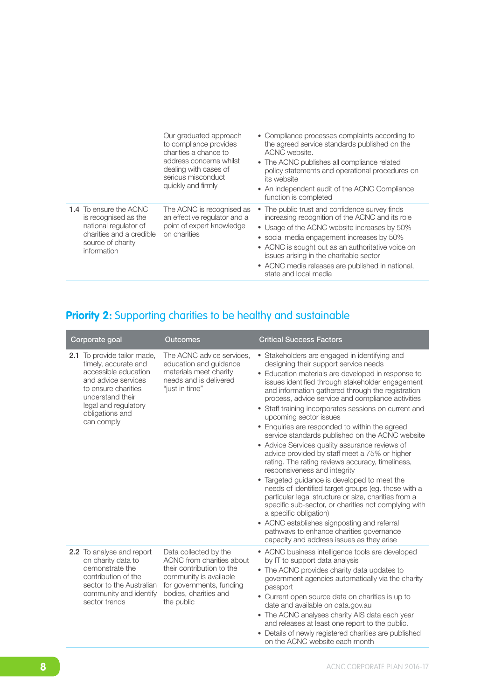| Our graduated approach<br>to compliance provides<br>charities a chance to                                                                                                                                                                                | • Compliance processes complaints according to<br>the agreed service standards published on the<br>ACNC website.<br>• The ACNC publishes all compliance related                                                                                                                                                                                                              |
|----------------------------------------------------------------------------------------------------------------------------------------------------------------------------------------------------------------------------------------------------------|------------------------------------------------------------------------------------------------------------------------------------------------------------------------------------------------------------------------------------------------------------------------------------------------------------------------------------------------------------------------------|
| address concerns whilst<br>dealing with cases of<br>serious misconduct<br>quickly and firmly                                                                                                                                                             | policy statements and operational procedures on<br>its website<br>• An independent audit of the ACNC Compliance<br>function is completed                                                                                                                                                                                                                                     |
| <b>1.4</b> To ensure the ACNC<br>The ACNC is recognised as<br>an effective regulator and a<br>is recognised as the<br>point of expert knowledge<br>national regulator of<br>on charities<br>charities and a credible<br>source of charity<br>information | • The public trust and confidence survey finds<br>increasing recognition of the ACNC and its role<br>• Usage of the ACNC website increases by 50%<br>• social media engagement increases by 50%<br>• ACNC is sought out as an authoritative voice on<br>issues arising in the charitable sector<br>• ACNC media releases are published in national,<br>state and local media |

#### **Priority 2:** Supporting charities to be healthy and sustainable

| Corporate goal |                                                                                                                                                                                          | <b>Outcomes</b>                                                                                                                                                              | <b>Critical Success Factors</b>                                                                                                                                                                                                                                                                                                                                                                                                                                                                                                                                                                                                                                                                                                                                                                                                                                                                                                                                                                                                                                                    |
|----------------|------------------------------------------------------------------------------------------------------------------------------------------------------------------------------------------|------------------------------------------------------------------------------------------------------------------------------------------------------------------------------|------------------------------------------------------------------------------------------------------------------------------------------------------------------------------------------------------------------------------------------------------------------------------------------------------------------------------------------------------------------------------------------------------------------------------------------------------------------------------------------------------------------------------------------------------------------------------------------------------------------------------------------------------------------------------------------------------------------------------------------------------------------------------------------------------------------------------------------------------------------------------------------------------------------------------------------------------------------------------------------------------------------------------------------------------------------------------------|
| can comply     | 2.1 To provide tailor made,<br>timely, accurate and<br>accessible education<br>and advice services<br>to ensure charities<br>understand their<br>legal and regulatory<br>obligations and | The ACNC advice services,<br>education and guidance<br>materials meet charity<br>needs and is delivered<br>"just in time"                                                    | • Stakeholders are engaged in identifying and<br>designing their support service needs<br>• Education materials are developed in response to<br>issues identified through stakeholder engagement<br>and information gathered through the registration<br>process, advice service and compliance activities<br>• Staff training incorporates sessions on current and<br>upcoming sector issues<br>• Enquiries are responded to within the agreed<br>service standards published on the ACNC website<br>• Advice Services quality assurance reviews of<br>advice provided by staff meet a 75% or higher<br>rating. The rating reviews accuracy, timeliness,<br>responsiveness and integrity<br>• Targeted guidance is developed to meet the<br>needs of identified target groups (eg. those with a<br>particular legal structure or size, charities from a<br>specific sub-sector, or charities not complying with<br>a specific obligation)<br>• ACNC establishes signposting and referral<br>pathways to enhance charities governance<br>capacity and address issues as they arise |
|                | 2.2 To analyse and report<br>on charity data to<br>demonstrate the<br>contribution of the<br>sector to the Australian<br>community and identify<br>sector trends                         | Data collected by the<br>ACNC from charities about<br>their contribution to the<br>community is available<br>for governments, funding<br>bodies, charities and<br>the public | • ACNC business intelligence tools are developed<br>by IT to support data analysis<br>• The ACNC provides charity data updates to<br>government agencies automatically via the charity<br>passport<br>• Current open source data on charities is up to<br>date and available on data.gov.au<br>• The ACNC analyses charity AIS data each year<br>and releases at least one report to the public.<br>• Details of newly registered charities are published<br>on the ACNC website each month                                                                                                                                                                                                                                                                                                                                                                                                                                                                                                                                                                                        |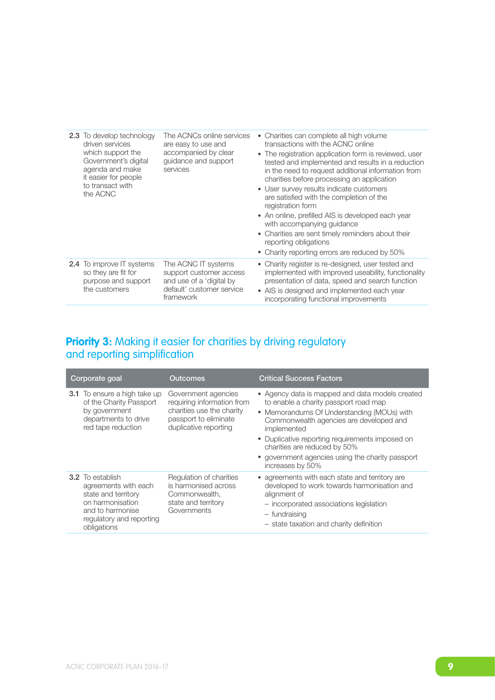| <b>2.3</b> To develop technology<br>driven services<br>which support the<br>Government's digital<br>agenda and make<br>it easier for people<br>to transact with<br>the ACNC | The ACNCs online services<br>are easy to use and<br>accompanied by clear<br>guidance and support<br>services         | • Charities can complete all high volume<br>transactions with the ACNC online<br>• The registration application form is reviewed, user<br>tested and implemented and results in a reduction<br>in the need to request additional information from<br>charities before processing an application<br>• User survey results indicate customers<br>are satisfied with the completion of the<br>registration form<br>• An online, prefilled AIS is developed each year<br>with accompanying quidance<br>• Charities are sent timely reminders about their<br>reporting obligations<br>• Charity reporting errors are reduced by 50% |
|-----------------------------------------------------------------------------------------------------------------------------------------------------------------------------|----------------------------------------------------------------------------------------------------------------------|--------------------------------------------------------------------------------------------------------------------------------------------------------------------------------------------------------------------------------------------------------------------------------------------------------------------------------------------------------------------------------------------------------------------------------------------------------------------------------------------------------------------------------------------------------------------------------------------------------------------------------|
| <b>2.4</b> To improve IT systems<br>so they are fit for<br>purpose and support<br>the customers                                                                             | The ACNC IT systems<br>support customer access<br>and use of a 'digital by<br>default' customer service<br>framework | • Charity register is re-designed, user tested and<br>implemented with improved useability, functionality<br>presentation of data, speed and search function<br>• AIS is designed and implemented each year<br>incorporating functional improvements                                                                                                                                                                                                                                                                                                                                                                           |

#### **Priority 3:** Making it easier for charities by driving regulatory and reporting simplification

| Corporate goal                                                                                                                                            | Outcomes                                                                                                                         | <b>Critical Success Factors</b>                                                                                                                                                                                                                                                                                                                             |
|-----------------------------------------------------------------------------------------------------------------------------------------------------------|----------------------------------------------------------------------------------------------------------------------------------|-------------------------------------------------------------------------------------------------------------------------------------------------------------------------------------------------------------------------------------------------------------------------------------------------------------------------------------------------------------|
| <b>3.1</b> To ensure a high take up<br>of the Charity Passport<br>by government<br>departments to drive<br>red tape reduction                             | Government agencies<br>requiring information from<br>charities use the charity<br>passport to eliminate<br>duplicative reporting | • Agency data is mapped and data models created<br>to enable a charity passport road map<br>• Memorandums Of Understanding (MOUs) with<br>Commonwealth agencies are developed and<br>implemented<br>• Duplicative reporting requirements imposed on<br>charities are reduced by 50%<br>• government agencies using the charity passport<br>increases by 50% |
| <b>3.2</b> To establish<br>agreements with each<br>state and territory<br>on harmonisation<br>and to harmonise<br>regulatory and reporting<br>obligations | Regulation of charities<br>is harmonised across<br>Commonwealth,<br>state and territory<br>Governments                           | • agreements with each state and territory are<br>developed to work towards harmonisation and<br>alignment of<br>- incorporated associations legislation<br>- fundraising<br>- state taxation and charity definition                                                                                                                                        |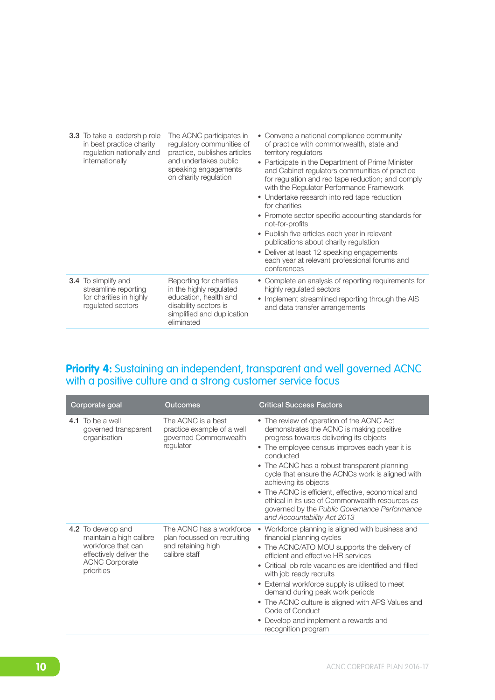| <b>3.3</b> To take a leadership role<br>in best practice charity<br>regulation nationally and<br>internationally | The ACNC participates in<br>regulatory communities of<br>practice, publishes articles<br>and undertakes public<br>speaking engagements<br>on charity regulation | • Convene a national compliance community<br>of practice with commonwealth, state and<br>territory regulators<br>Participate in the Department of Prime Minister<br>and Cabinet regulators communities of practice<br>for regulation and red tape reduction; and comply<br>with the Regulator Performance Framework<br>• Undertake research into red tape reduction<br>for charities<br>• Promote sector specific accounting standards for<br>not-for-profits<br>• Publish five articles each year in relevant<br>publications about charity regulation<br>• Deliver at least 12 speaking engagements<br>each year at relevant professional forums and<br>conferences |
|------------------------------------------------------------------------------------------------------------------|-----------------------------------------------------------------------------------------------------------------------------------------------------------------|-----------------------------------------------------------------------------------------------------------------------------------------------------------------------------------------------------------------------------------------------------------------------------------------------------------------------------------------------------------------------------------------------------------------------------------------------------------------------------------------------------------------------------------------------------------------------------------------------------------------------------------------------------------------------|
| <b>3.4</b> To simplify and<br>streamline reporting<br>for charities in highly<br>requlated sectors               | Reporting for charities<br>in the highly regulated<br>education, health and<br>disability sectors is<br>simplified and duplication<br>eliminated                | • Complete an analysis of reporting requirements for<br>highly regulated sectors<br>• Implement streamlined reporting through the AIS<br>and data transfer arrangements                                                                                                                                                                                                                                                                                                                                                                                                                                                                                               |

#### **Priority 4:** Sustaining an independent, transparent and well governed ACNC with a positive culture and a strong customer service focus

| Corporate goal                                                                                                                        | Outcomes                                                                                       | <b>Critical Success Factors</b>                                                                                                                                                                                                                                                                                                                                                                                                                                                                                       |
|---------------------------------------------------------------------------------------------------------------------------------------|------------------------------------------------------------------------------------------------|-----------------------------------------------------------------------------------------------------------------------------------------------------------------------------------------------------------------------------------------------------------------------------------------------------------------------------------------------------------------------------------------------------------------------------------------------------------------------------------------------------------------------|
| 4.1 To be a well<br>governed transparent<br>organisation                                                                              | The ACNC is a best<br>practice example of a well<br>governed Commonwealth<br>regulator         | • The review of operation of the ACNC Act<br>demonstrates the ACNC is making positive<br>progress towards delivering its objects<br>• The employee census improves each year it is<br>conducted<br>• The ACNC has a robust transparent planning<br>cycle that ensure the ACNCs work is aligned with<br>achieving its objects<br>• The ACNC is efficient, effective, economical and<br>ethical in its use of Commonwealth resources as<br>governed by the Public Governance Performance<br>and Accountability Act 2013 |
| 4.2 To develop and<br>maintain a high calibre<br>workforce that can<br>effectively deliver the<br><b>ACNC Corporate</b><br>priorities | The ACNC has a workforce<br>plan focussed on recruiting<br>and retaining high<br>calibre staff | • Workforce planning is aligned with business and<br>financial planning cycles<br>• The ACNC/ATO MOU supports the delivery of<br>efficient and effective HR services<br>• Critical job role vacancies are identified and filled<br>with job ready recruits<br>• External workforce supply is utilised to meet<br>demand during peak work periods<br>• The ACNC culture is aligned with APS Values and<br>Code of Conduct<br>Develop and implement a rewards and<br>recognition program                                |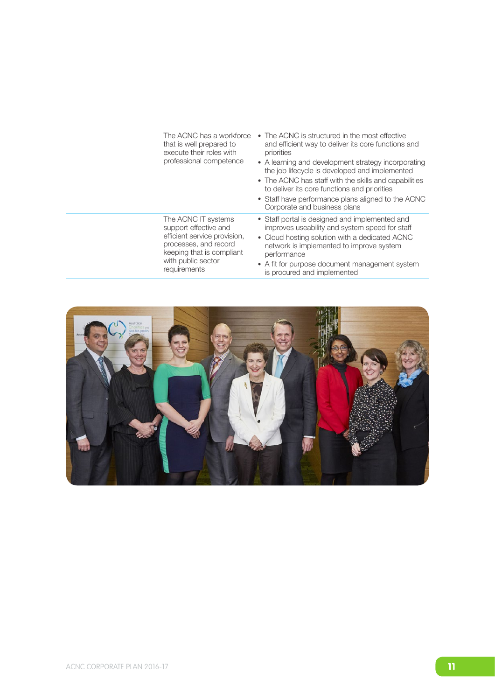| The ACNC has a workforce<br>that is well prepared to<br>execute their roles with<br>professional competence                                                              | • The ACNC is structured in the most effective<br>and efficient way to deliver its core functions and<br>priorities<br>• A learning and development strategy incorporating<br>the job lifecycle is developed and implemented<br>• The ACNC has staff with the skills and capabilities<br>to deliver its core functions and priorities<br>• Staff have performance plans aligned to the ACNC<br>Corporate and business plans |
|--------------------------------------------------------------------------------------------------------------------------------------------------------------------------|-----------------------------------------------------------------------------------------------------------------------------------------------------------------------------------------------------------------------------------------------------------------------------------------------------------------------------------------------------------------------------------------------------------------------------|
| The ACNC IT systems<br>support effective and<br>efficient service provision,<br>processes, and record<br>keeping that is compliant<br>with public sector<br>requirements | • Staff portal is designed and implemented and<br>improves useability and system speed for staff<br>• Cloud hosting solution with a dedicated ACNC<br>network is implemented to improve system<br>performance<br>• A fit for purpose document management system<br>is procured and implemented                                                                                                                              |

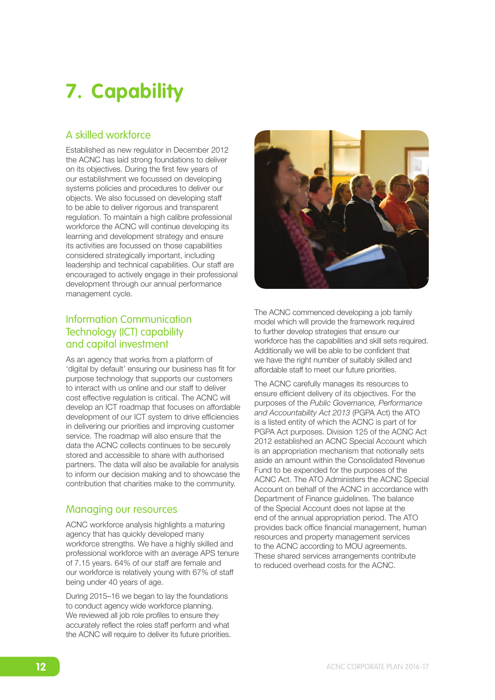# **7. Capability**

#### A skilled workforce

Established as new regulator in December 2012 the ACNC has laid strong foundations to deliver on its objectives. During the first few years of our establishment we focussed on developing systems policies and procedures to deliver our objects. We also focussed on developing staff to be able to deliver rigorous and transparent regulation. To maintain a high calibre professional workforce the ACNC will continue developing its learning and development strategy and ensure its activities are focussed on those capabilities considered strategically important, including leadership and technical capabilities. Our staff are encouraged to actively engage in their professional development through our annual performance management cycle.

#### Information Communication Technology (ICT) capability and capital investment

As an agency that works from a platform of 'digital by default' ensuring our business has fit for purpose technology that supports our customers to interact with us online and our staff to deliver cost effective regulation is critical. The ACNC will develop an ICT roadmap that focuses on affordable development of our ICT system to drive efficiencies in delivering our priorities and improving customer service. The roadmap will also ensure that the data the ACNC collects continues to be securely stored and accessible to share with authorised partners. The data will also be available for analysis to inform our decision making and to showcase the contribution that charities make to the community.

#### Managing our resources

ACNC workforce analysis highlights a maturing agency that has quickly developed many workforce strengths. We have a highly skilled and professional workforce with an average APS tenure of 7.15 years. 64% of our staff are female and our workforce is relatively young with 67% of staff being under 40 years of age.

During 2015–16 we began to lay the foundations to conduct agency wide workforce planning. We reviewed all job role profiles to ensure they accurately reflect the roles staff perform and what the ACNC will require to deliver its future priorities.



The ACNC commenced developing a job family model which will provide the framework required to further develop strategies that ensure our workforce has the capabilities and skill sets required. Additionally we will be able to be confident that we have the right number of suitably skilled and affordable staff to meet our future priorities.

The ACNC carefully manages its resources to ensure efficient delivery of its objectives. For the purposes of the *Public Governance, Performance and Accountability Act 2013* (PGPA Act) the ATO is a listed entity of which the ACNC is part of for PGPA Act purposes. Division 125 of the ACNC Act 2012 established an ACNC Special Account which is an appropriation mechanism that notionally sets aside an amount within the Consolidated Revenue Fund to be expended for the purposes of the ACNC Act. The ATO Administers the ACNC Special Account on behalf of the ACNC in accordance with Department of Finance guidelines. The balance of the Special Account does not lapse at the end of the annual appropriation period. The ATO provides back office financial management, human resources and property management services to the ACNC according to MOU agreements. These shared services arrangements contribute to reduced overhead costs for the ACNC.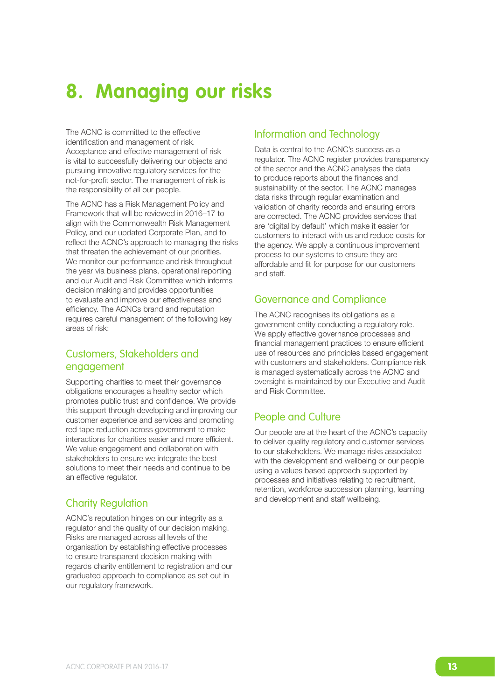## **8. Managing our risks**

The ACNC is committed to the effective identification and management of risk. Acceptance and effective management of risk is vital to successfully delivering our objects and pursuing innovative regulatory services for the not-for-profit sector. The management of risk is the responsibility of all our people.

The ACNC has a Risk Management Policy and Framework that will be reviewed in 2016–17 to align with the Commonwealth Risk Management Policy, and our updated Corporate Plan, and to reflect the ACNC's approach to managing the risks that threaten the achievement of our priorities. We monitor our performance and risk throughout the year via business plans, operational reporting and our Audit and Risk Committee which informs decision making and provides opportunities to evaluate and improve our effectiveness and efficiency. The ACNCs brand and reputation requires careful management of the following key areas of risk:

#### Customers, Stakeholders and engagement

Supporting charities to meet their governance obligations encourages a healthy sector which promotes public trust and confidence. We provide this support through developing and improving our customer experience and services and promoting red tape reduction across government to make interactions for charities easier and more efficient. We value engagement and collaboration with stakeholders to ensure we integrate the best solutions to meet their needs and continue to be an effective regulator.

#### Charity Regulation

ACNC's reputation hinges on our integrity as a regulator and the quality of our decision making. Risks are managed across all levels of the organisation by establishing effective processes to ensure transparent decision making with regards charity entitlement to registration and our graduated approach to compliance as set out in our regulatory framework.

#### Information and Technology

Data is central to the ACNC's success as a regulator. The ACNC register provides transparency of the sector and the ACNC analyses the data to produce reports about the finances and sustainability of the sector. The ACNC manages data risks through regular examination and validation of charity records and ensuring errors are corrected. The ACNC provides services that are 'digital by default' which make it easier for customers to interact with us and reduce costs for the agency. We apply a continuous improvement process to our systems to ensure they are affordable and fit for purpose for our customers and staff.

#### Governance and Compliance

The ACNC recognises its obligations as a government entity conducting a regulatory role. We apply effective governance processes and financial management practices to ensure efficient use of resources and principles based engagement with customers and stakeholders. Compliance risk is managed systematically across the ACNC and oversight is maintained by our Executive and Audit and Risk Committee.

#### People and Culture

Our people are at the heart of the ACNC's capacity to deliver quality regulatory and customer services to our stakeholders. We manage risks associated with the development and wellbeing or our people using a values based approach supported by processes and initiatives relating to recruitment, retention, workforce succession planning, learning and development and staff wellbeing.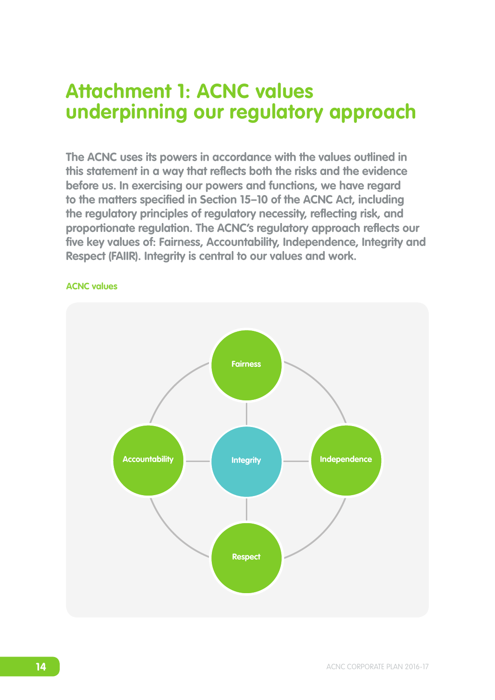### **Attachment 1: ACNC values underpinning our regulatory approach**

**The ACNC uses its powers in accordance with the values outlined in this statement in a way that reflects both the risks and the evidence before us. In exercising our powers and functions, we have regard to the matters specified in Section 15–10 of the ACNC Act, including the regulatory principles of regulatory necessity, reflecting risk, and proportionate regulation. The ACNC's regulatory approach reflects our five key values of: Fairness, Accountability, Independence, Integrity and Respect (FAIIR). Integrity is central to our values and work.** 



#### **ACNC values**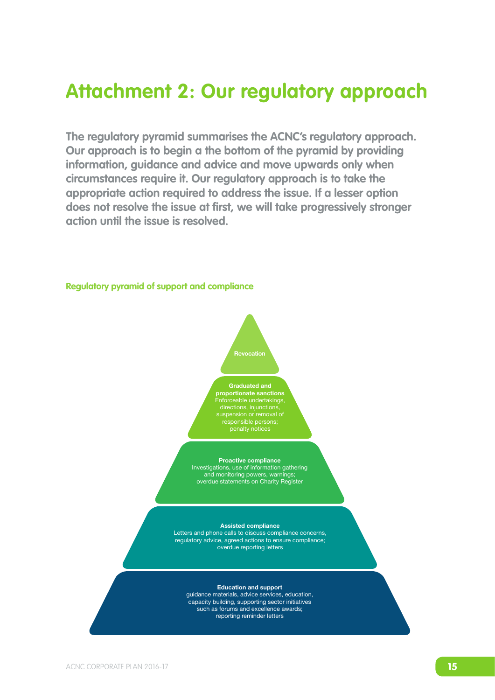### **Attachment 2: Our regulatory approach**

**The regulatory pyramid summarises the ACNC's regulatory approach. Our approach is to begin a the bottom of the pyramid by providing information, guidance and advice and move upwards only when circumstances require it. Our regulatory approach is to take the appropriate action required to address the issue. If a lesser option does not resolve the issue at first, we will take progressively stronger action until the issue is resolved.**



**Regulatory pyramid of support and compliance**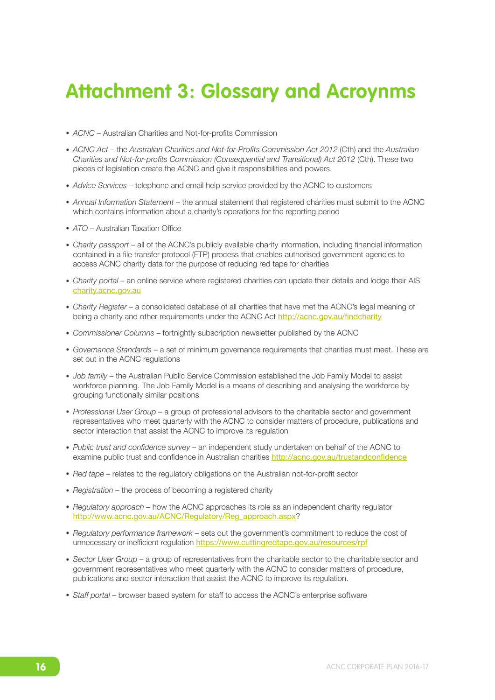### **Attachment 3: Glossary and Acroynms**

- *ACNC* Australian Charities and Not-for-profits Commission
- *ACNC Act*  the *Australian Charities and Not-for-Profits Commission Act 2012* (Cth) and the *Australian Charities and Not-for-profits Commission (Consequential and Transitional) Act 2012* (Cth). These two pieces of legislation create the ACNC and give it responsibilities and powers.
- *Advice Services*  telephone and email help service provided by the ACNC to customers
- *Annual Information Statement* the annual statement that registered charities must submit to the ACNC which contains information about a charity's operations for the reporting period
- *ATO*  Australian Taxation Office
- *Charity passport*  all of the ACNC's publicly available charity information, including financial information contained in a file transfer protocol (FTP) process that enables authorised government agencies to access ACNC charity data for the purpose of reducing red tape for charities
- *Charity portal* an online service where registered charities can update their details and lodge their AIS [charity.acnc.gov.au](http://charity.acnc.gov.au)
- *Charity Register* a consolidated database of all charities that have met the ACNC's legal meaning of being a charity and other requirements under the ACNC Act <http://acnc.gov.au/findcharity>
- *Commissioner Columns*  fortnightly subscription newsletter published by the ACNC
- *Governance Standards* a set of minimum governance requirements that charities must meet. These are set out in the ACNC regulations
- *Job family*  the Australian Public Service Commission established the Job Family Model to assist workforce planning. The Job Family Model is a means of describing and analysing the workforce by grouping functionally similar positions
- *Professional User Group* a group of professional advisors to the charitable sector and government representatives who meet quarterly with the ACNC to consider matters of procedure, publications and sector interaction that assist the ACNC to improve its regulation
- *Public trust and confidence survey –* an independent study undertaken on behalf of the ACNC to examine public trust and confidence in Australian charities <http://acnc.gov.au/trustandconfidence>
- *Red tape* relates to the regulatory obligations on the Australian not-for-profit sector
- *Registration* the process of becoming a registered charity
- *Regulatory approach –* how the ACNC approaches its role as an independent charity regulator [http://www.acnc.gov.au/ACNC/Regulatory/Reg\\_approac](http://www.acnc.gov.au/ACNC/Regulatory/Reg_approach.aspx)h.aspx?
- *Regulatory performance framework* sets out the government's commitment to reduce the cost of unnecessary or inefficient regulation <https://www.cuttingredtape.gov.au/resources/rpf>
- *Sector User Group* a group of representatives from the charitable sector to the charitable sector and government representatives who meet quarterly with the ACNC to consider matters of procedure, publications and sector interaction that assist the ACNC to improve its regulation.
- *Staff portal* browser based system for staff to access the ACNC's enterprise software